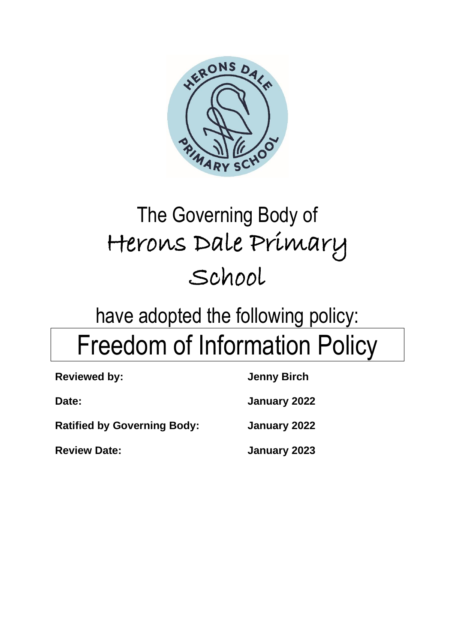

# The Governing Body of Herons Dale Primary School

# have adopted the following policy: Freedom of Information Policy

| <b>Reviewed by:</b>                | <b>Jenny Birch</b> |
|------------------------------------|--------------------|
| Date:                              | January 2022       |
| <b>Ratified by Governing Body:</b> | January 2022       |
| <b>Review Date:</b>                | January 2023       |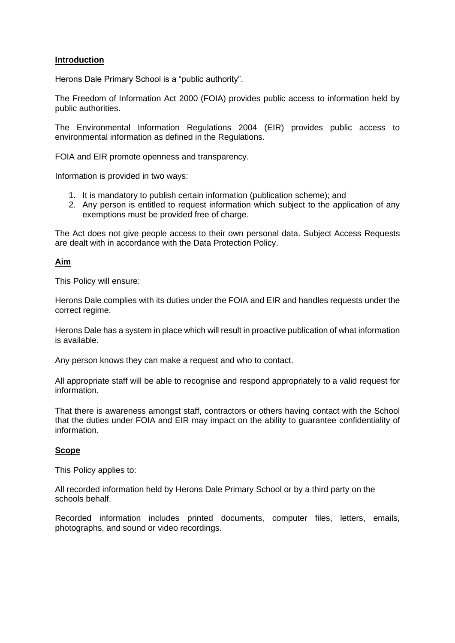# **Introduction**

Herons Dale Primary School is a "public authority".

The Freedom of Information Act 2000 (FOIA) provides public access to information held by public authorities.

The Environmental Information Regulations 2004 (EIR) provides public access to environmental information as defined in the Regulations.

FOIA and EIR promote openness and transparency.

Information is provided in two ways:

- 1. It is mandatory to publish certain information (publication scheme); and
- 2. Any person is entitled to request information which subject to the application of any exemptions must be provided free of charge.

The Act does not give people access to their own personal data. Subject Access Requests are dealt with in accordance with the Data Protection Policy.

# **Aim**

This Policy will ensure:

Herons Dale complies with its duties under the FOIA and EIR and handles requests under the correct regime.

Herons Dale has a system in place which will result in proactive publication of what information is available.

Any person knows they can make a request and who to contact.

All appropriate staff will be able to recognise and respond appropriately to a valid request for information.

That there is awareness amongst staff, contractors or others having contact with the School that the duties under FOIA and EIR may impact on the ability to guarantee confidentiality of information.

# **Scope**

This Policy applies to:

All recorded information held by Herons Dale Primary School or by a third party on the schools behalf.

Recorded information includes printed documents, computer files, letters, emails, photographs, and sound or video recordings.